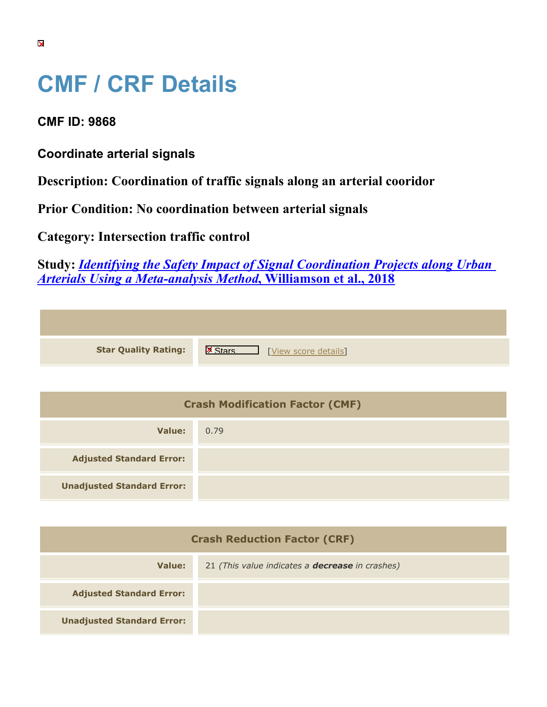## **CMF / CRF Details**

**CMF ID: 9868**

**Coordinate arterial signals**

**Description: Coordination of traffic signals along an arterial cooridor**

**Prior Condition: No coordination between arterial signals**

**Category: Intersection traffic control**

**Study:** *[Identifying the Safety Impact of Signal Coordination Projects along Urban](https://cmfclearinghouse.org/study_detail.cfm?stid=555) [Arterials Using a Meta-analysis Method](https://cmfclearinghouse.org/study_detail.cfm?stid=555)***[, Williamson et al., 2018](https://cmfclearinghouse.org/study_detail.cfm?stid=555)**

| <b>Star Quality Rating:</b> | IX.<br>[View score details] |
|-----------------------------|-----------------------------|

| <b>Crash Modification Factor (CMF)</b> |      |
|----------------------------------------|------|
| Value:                                 | 0.79 |
| <b>Adjusted Standard Error:</b>        |      |
| <b>Unadjusted Standard Error:</b>      |      |

| <b>Crash Reduction Factor (CRF)</b> |                                                        |
|-------------------------------------|--------------------------------------------------------|
| Value:                              | 21 (This value indicates a <b>decrease</b> in crashes) |
| <b>Adjusted Standard Error:</b>     |                                                        |
| <b>Unadjusted Standard Error:</b>   |                                                        |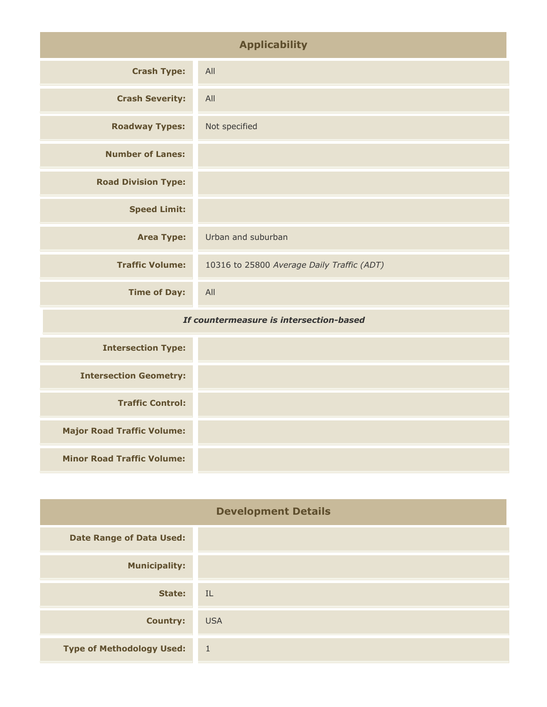| <b>Applicability</b>                    |                                            |
|-----------------------------------------|--------------------------------------------|
| <b>Crash Type:</b>                      | All                                        |
| <b>Crash Severity:</b>                  | All                                        |
| <b>Roadway Types:</b>                   | Not specified                              |
| <b>Number of Lanes:</b>                 |                                            |
| <b>Road Division Type:</b>              |                                            |
| <b>Speed Limit:</b>                     |                                            |
| <b>Area Type:</b>                       | Urban and suburban                         |
| <b>Traffic Volume:</b>                  | 10316 to 25800 Average Daily Traffic (ADT) |
| <b>Time of Day:</b>                     | All                                        |
| If countermeasure is intersection-based |                                            |
| <b>Intersection Type:</b>               |                                            |
|                                         |                                            |

| <b>Intersection Geometry:</b>     |  |
|-----------------------------------|--|
| <b>Traffic Control:</b>           |  |
| <b>Major Road Traffic Volume:</b> |  |
| <b>Minor Road Traffic Volume:</b> |  |

| <b>Development Details</b>       |                |
|----------------------------------|----------------|
| <b>Date Range of Data Used:</b>  |                |
| <b>Municipality:</b>             |                |
| State:                           | - IL           |
| <b>Country:</b>                  | <b>USA</b>     |
| <b>Type of Methodology Used:</b> | $\overline{1}$ |